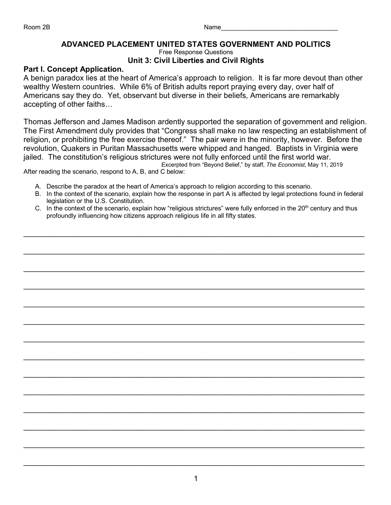## **ADVANCED PLACEMENT UNITED STATES GOVERNMENT AND POLITICS**

Free Response Questions

## **Unit 3: Civil Liberties and Civil Rights**

## **Part I. Concept Application.**

A benign paradox lies at the heart of America's approach to religion. It is far more devout than other wealthy Western countries. While 6% of British adults report praying every day, over half of Americans say they do. Yet, observant but diverse in their beliefs, Americans are remarkably accepting of other faiths…

Thomas Jefferson and James Madison ardently supported the separation of government and religion. The First Amendment duly provides that "Congress shall make no law respecting an establishment of religion, or prohibiting the free exercise thereof." The pair were in the minority, however. Before the revolution, Quakers in Puritan Massachusetts were whipped and hanged. Baptists in Virginia were jailed. The constitution's religious strictures were not fully enforced until the first world war. Excerpted from "Beyond Belief," by staff, *The Economist*, May 11, 2019

After reading the scenario, respond to A, B, and C below:

- A. Describe the paradox at the heart of America's approach to religion according to this scenario.
- B. In the context of the scenario, explain how the response in part A is affected by legal protections found in federal legislation or the U.S. Constitution.
- C. In the context of the scenario, explain how "religious strictures" were fully enforced in the  $20<sup>th</sup>$  century and thus profoundly influencing how citizens approach religious life in all fifty states.

\_\_\_\_\_\_\_\_\_\_\_\_\_\_\_\_\_\_\_\_\_\_\_\_\_\_\_\_\_\_\_\_\_\_\_\_\_\_\_\_\_\_\_\_\_\_\_\_\_\_\_\_\_\_\_\_\_\_\_\_\_\_\_\_\_\_\_\_\_\_\_\_\_\_\_\_\_\_\_\_

 $\mathcal{L}_\text{max} = \frac{1}{2} \sum_{i=1}^{n} \frac{1}{2} \sum_{i=1}^{n} \frac{1}{2} \sum_{i=1}^{n} \frac{1}{2} \sum_{i=1}^{n} \frac{1}{2} \sum_{i=1}^{n} \frac{1}{2} \sum_{i=1}^{n} \frac{1}{2} \sum_{i=1}^{n} \frac{1}{2} \sum_{i=1}^{n} \frac{1}{2} \sum_{i=1}^{n} \frac{1}{2} \sum_{i=1}^{n} \frac{1}{2} \sum_{i=1}^{n} \frac{1}{2} \sum_{i=1}^{n} \frac{1$ 

\_\_\_\_\_\_\_\_\_\_\_\_\_\_\_\_\_\_\_\_\_\_\_\_\_\_\_\_\_\_\_\_\_\_\_\_\_\_\_\_\_\_\_\_\_\_\_\_\_\_\_\_\_\_\_\_\_\_\_\_\_\_\_\_\_\_\_\_\_\_\_\_\_\_\_\_\_\_\_\_

\_\_\_\_\_\_\_\_\_\_\_\_\_\_\_\_\_\_\_\_\_\_\_\_\_\_\_\_\_\_\_\_\_\_\_\_\_\_\_\_\_\_\_\_\_\_\_\_\_\_\_\_\_\_\_\_\_\_\_\_\_\_\_\_\_\_\_\_\_\_\_\_\_\_\_\_\_\_\_\_

 $\mathcal{L}_\text{max} = \frac{1}{2} \sum_{i=1}^{n} \frac{1}{2} \sum_{i=1}^{n} \frac{1}{2} \sum_{i=1}^{n} \frac{1}{2} \sum_{i=1}^{n} \frac{1}{2} \sum_{i=1}^{n} \frac{1}{2} \sum_{i=1}^{n} \frac{1}{2} \sum_{i=1}^{n} \frac{1}{2} \sum_{i=1}^{n} \frac{1}{2} \sum_{i=1}^{n} \frac{1}{2} \sum_{i=1}^{n} \frac{1}{2} \sum_{i=1}^{n} \frac{1}{2} \sum_{i=1}^{n} \frac{1$ 

\_\_\_\_\_\_\_\_\_\_\_\_\_\_\_\_\_\_\_\_\_\_\_\_\_\_\_\_\_\_\_\_\_\_\_\_\_\_\_\_\_\_\_\_\_\_\_\_\_\_\_\_\_\_\_\_\_\_\_\_\_\_\_\_\_\_\_\_\_\_\_\_\_\_\_\_\_\_\_\_

 $\mathcal{L}_\text{max} = \frac{1}{2} \sum_{i=1}^{n} \frac{1}{2} \sum_{i=1}^{n} \frac{1}{2} \sum_{i=1}^{n} \frac{1}{2} \sum_{i=1}^{n} \frac{1}{2} \sum_{i=1}^{n} \frac{1}{2} \sum_{i=1}^{n} \frac{1}{2} \sum_{i=1}^{n} \frac{1}{2} \sum_{i=1}^{n} \frac{1}{2} \sum_{i=1}^{n} \frac{1}{2} \sum_{i=1}^{n} \frac{1}{2} \sum_{i=1}^{n} \frac{1}{2} \sum_{i=1}^{n} \frac{1$ 

\_\_\_\_\_\_\_\_\_\_\_\_\_\_\_\_\_\_\_\_\_\_\_\_\_\_\_\_\_\_\_\_\_\_\_\_\_\_\_\_\_\_\_\_\_\_\_\_\_\_\_\_\_\_\_\_\_\_\_\_\_\_\_\_\_\_\_\_\_\_\_\_\_\_\_\_\_\_\_\_

 $\mathcal{L}_\text{max} = \frac{1}{2} \sum_{i=1}^{n} \frac{1}{2} \sum_{i=1}^{n} \frac{1}{2} \sum_{i=1}^{n} \frac{1}{2} \sum_{i=1}^{n} \frac{1}{2} \sum_{i=1}^{n} \frac{1}{2} \sum_{i=1}^{n} \frac{1}{2} \sum_{i=1}^{n} \frac{1}{2} \sum_{i=1}^{n} \frac{1}{2} \sum_{i=1}^{n} \frac{1}{2} \sum_{i=1}^{n} \frac{1}{2} \sum_{i=1}^{n} \frac{1}{2} \sum_{i=1}^{n} \frac{1$ 

\_\_\_\_\_\_\_\_\_\_\_\_\_\_\_\_\_\_\_\_\_\_\_\_\_\_\_\_\_\_\_\_\_\_\_\_\_\_\_\_\_\_\_\_\_\_\_\_\_\_\_\_\_\_\_\_\_\_\_\_\_\_\_\_\_\_\_\_\_\_\_\_\_\_\_\_\_\_\_\_

\_\_\_\_\_\_\_\_\_\_\_\_\_\_\_\_\_\_\_\_\_\_\_\_\_\_\_\_\_\_\_\_\_\_\_\_\_\_\_\_\_\_\_\_\_\_\_\_\_\_\_\_\_\_\_\_\_\_\_\_\_\_\_\_\_\_\_\_\_\_\_\_\_\_\_\_\_\_\_\_

 $\mathcal{L}_\text{max} = \frac{1}{2} \sum_{i=1}^{n} \frac{1}{2} \sum_{i=1}^{n} \frac{1}{2} \sum_{i=1}^{n} \frac{1}{2} \sum_{i=1}^{n} \frac{1}{2} \sum_{i=1}^{n} \frac{1}{2} \sum_{i=1}^{n} \frac{1}{2} \sum_{i=1}^{n} \frac{1}{2} \sum_{i=1}^{n} \frac{1}{2} \sum_{i=1}^{n} \frac{1}{2} \sum_{i=1}^{n} \frac{1}{2} \sum_{i=1}^{n} \frac{1}{2} \sum_{i=1}^{n} \frac{1$ 

\_\_\_\_\_\_\_\_\_\_\_\_\_\_\_\_\_\_\_\_\_\_\_\_\_\_\_\_\_\_\_\_\_\_\_\_\_\_\_\_\_\_\_\_\_\_\_\_\_\_\_\_\_\_\_\_\_\_\_\_\_\_\_\_\_\_\_\_\_\_\_\_\_\_\_\_\_\_\_\_

 $\mathcal{L}_\text{max} = \frac{1}{2} \sum_{i=1}^{n} \frac{1}{2} \sum_{i=1}^{n} \frac{1}{2} \sum_{i=1}^{n} \frac{1}{2} \sum_{i=1}^{n} \frac{1}{2} \sum_{i=1}^{n} \frac{1}{2} \sum_{i=1}^{n} \frac{1}{2} \sum_{i=1}^{n} \frac{1}{2} \sum_{i=1}^{n} \frac{1}{2} \sum_{i=1}^{n} \frac{1}{2} \sum_{i=1}^{n} \frac{1}{2} \sum_{i=1}^{n} \frac{1}{2} \sum_{i=1}^{n} \frac{1$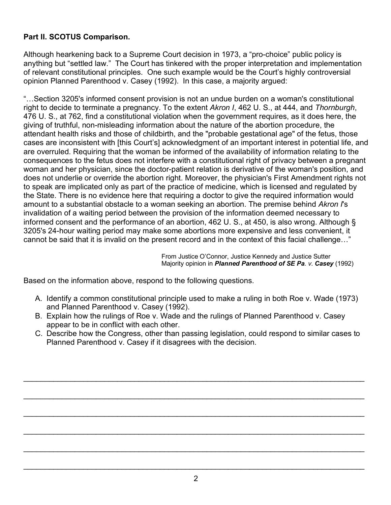## **Part II. SCOTUS Comparison.**

Although hearkening back to a Supreme Court decision in 1973, a "pro-choice" public policy is anything but "settled law." The Court has tinkered with the proper interpretation and implementation of relevant constitutional principles. One such example would be the Court's highly controversial opinion Planned Parenthood v. Casey (1992). In this case, a majority argued:

"…Section 3205's informed consent provision is not an undue burden on a woman's constitutional right to decide to terminate a pregnancy. To the extent *Akron I*, 462 U. S., at 444, and *Thornburgh*, 476 U. S., at 762, find a constitutional violation when the government requires, as it does here, the giving of truthful, non-misleading information about the nature of the abortion procedure, the attendant health risks and those of childbirth, and the "probable gestational age" of the fetus, those cases are inconsistent with [this Court's] acknowledgment of an important interest in potential life, and are overruled. Requiring that the woman be informed of the availability of information relating to the consequences to the fetus does not interfere with a constitutional right of privacy between a pregnant woman and her physician, since the doctor-patient relation is derivative of the woman's position, and does not underlie or override the abortion right. Moreover, the physician's First Amendment rights not to speak are implicated only as part of the practice of medicine, which is licensed and regulated by the State. There is no evidence here that requiring a doctor to give the required information would amount to a substantial obstacle to a woman seeking an abortion. The premise behind *Akron I*'s invalidation of a waiting period between the provision of the information deemed necessary to informed consent and the performance of an abortion, 462 U. S., at 450, is also wrong. Although § 3205's 24-hour waiting period may make some abortions more expensive and less convenient, it cannot be said that it is invalid on the present record and in the context of this facial challenge…"

> From Justice O'Connor, Justice Kennedy and Justice Sutter Majority opinion in *Planned Parenthood of SE Pa. v. Casey* (1992)

Based on the information above, respond to the following questions.

- A. Identify a common constitutional principle used to make a ruling in both Roe v. Wade (1973) and Planned Parenthood v. Casey (1992).
- B. Explain how the rulings of Roe v. Wade and the rulings of Planned Parenthood v. Casey appear to be in conflict with each other.
- C. Describe how the Congress, other than passing legislation, could respond to similar cases to Planned Parenthood v. Casey if it disagrees with the decision.

 $\mathcal{L}_\text{max} = \frac{1}{2} \sum_{i=1}^{n} \frac{1}{2} \sum_{i=1}^{n} \frac{1}{2} \sum_{i=1}^{n} \frac{1}{2} \sum_{i=1}^{n} \frac{1}{2} \sum_{i=1}^{n} \frac{1}{2} \sum_{i=1}^{n} \frac{1}{2} \sum_{i=1}^{n} \frac{1}{2} \sum_{i=1}^{n} \frac{1}{2} \sum_{i=1}^{n} \frac{1}{2} \sum_{i=1}^{n} \frac{1}{2} \sum_{i=1}^{n} \frac{1}{2} \sum_{i=1}^{n} \frac{1$ 

\_\_\_\_\_\_\_\_\_\_\_\_\_\_\_\_\_\_\_\_\_\_\_\_\_\_\_\_\_\_\_\_\_\_\_\_\_\_\_\_\_\_\_\_\_\_\_\_\_\_\_\_\_\_\_\_\_\_\_\_\_\_\_\_\_\_\_\_\_\_\_\_\_\_\_\_\_\_\_\_

\_\_\_\_\_\_\_\_\_\_\_\_\_\_\_\_\_\_\_\_\_\_\_\_\_\_\_\_\_\_\_\_\_\_\_\_\_\_\_\_\_\_\_\_\_\_\_\_\_\_\_\_\_\_\_\_\_\_\_\_\_\_\_\_\_\_\_\_\_\_\_\_\_\_\_\_\_\_\_\_

\_\_\_\_\_\_\_\_\_\_\_\_\_\_\_\_\_\_\_\_\_\_\_\_\_\_\_\_\_\_\_\_\_\_\_\_\_\_\_\_\_\_\_\_\_\_\_\_\_\_\_\_\_\_\_\_\_\_\_\_\_\_\_\_\_\_\_\_\_\_\_\_\_\_\_\_\_\_\_\_

 $\mathcal{L}_\text{max} = \frac{1}{2} \sum_{i=1}^{n} \frac{1}{2} \sum_{i=1}^{n} \frac{1}{2} \sum_{i=1}^{n} \frac{1}{2} \sum_{i=1}^{n} \frac{1}{2} \sum_{i=1}^{n} \frac{1}{2} \sum_{i=1}^{n} \frac{1}{2} \sum_{i=1}^{n} \frac{1}{2} \sum_{i=1}^{n} \frac{1}{2} \sum_{i=1}^{n} \frac{1}{2} \sum_{i=1}^{n} \frac{1}{2} \sum_{i=1}^{n} \frac{1}{2} \sum_{i=1}^{n} \frac{1$ 

\_\_\_\_\_\_\_\_\_\_\_\_\_\_\_\_\_\_\_\_\_\_\_\_\_\_\_\_\_\_\_\_\_\_\_\_\_\_\_\_\_\_\_\_\_\_\_\_\_\_\_\_\_\_\_\_\_\_\_\_\_\_\_\_\_\_\_\_\_\_\_\_\_\_\_\_\_\_\_\_